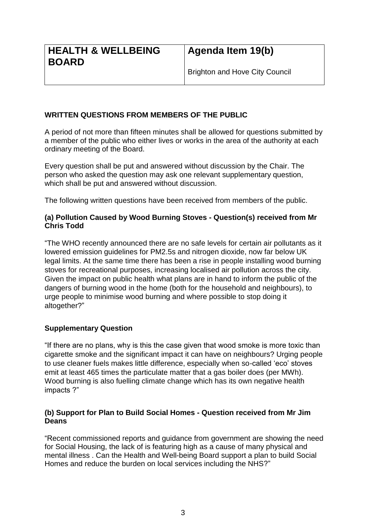## **WRITTEN QUESTIONS FROM MEMBERS OF THE PUBLIC**

A period of not more than fifteen minutes shall be allowed for questions submitted by a member of the public who either lives or works in the area of the authority at each ordinary meeting of the Board.

Every question shall be put and answered without discussion by the Chair. The person who asked the question may ask one relevant supplementary question, which shall be put and answered without discussion.

The following written questions have been received from members of the public.

## **(a) Pollution Caused by Wood Burning Stoves - Question(s) received from Mr Chris Todd**

"The WHO recently announced there are no safe levels for certain air pollutants as it lowered emission guidelines for PM2.5s and nitrogen dioxide, now far below UK legal limits. At the same time there has been a rise in people installing wood burning stoves for recreational purposes, increasing localised air pollution across the city. Given the impact on public health what plans are in hand to inform the public of the dangers of burning wood in the home (both for the household and neighbours), to urge people to minimise wood burning and where possible to stop doing it altogether?"

## **Supplementary Question**

"If there are no plans, why is this the case given that wood smoke is more toxic than cigarette smoke and the significant impact it can have on neighbours? Urging people to use cleaner fuels makes little difference, especially when so-called 'eco' stoves emit at least 465 times the particulate matter that a gas boiler does (per MWh). Wood burning is also fuelling climate change which has its own negative health impacts ?"

## **(b) Support for Plan to Build Social Homes - Question received from Mr Jim Deans**

"Recent commissioned reports and guidance from government are showing the need for Social Housing, the lack of is featuring high as a cause of many physical and mental illness . Can the Health and Well-being Board support a plan to build Social Homes and reduce the burden on local services including the NHS?"